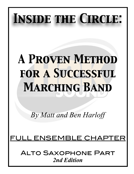# *Inside the Circle:*

## *A Proven Method for a Successful Marching Band*

*By Matt and Ben Harloff* 

## FULL ENSEMBLE CHAP

Alto Saxophone Part *2nd Edition*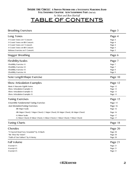*by Matt and Ben Harloff*

## TABLE OF CONTENTS

| <b>Breathing Exercises</b>                                                     | Page 3             |
|--------------------------------------------------------------------------------|--------------------|
| Long Tones                                                                     | Page 4             |
| -9 Count Tones on F Concert:                                                   | Page 4             |
| -9 Count Tones on Bb Concert:                                                  | Page 4             |
| -8 Count Tones on F Concert:                                                   | Page 4             |
| -8 Count Tones on Bb Concert:                                                  | Page 5             |
| -Release Exercise on F Concert:                                                | Page 5             |
| Stagger Breathing                                                              | Page 6             |
| <b>Flexibility/Scales</b>                                                      | Page 7             |
| -Flexibility Exercise #1:                                                      | Page 7             |
| -Flexibility Exercise #2:                                                      | Page 7             |
| -Flexibility Exercise #3:                                                      | Page 8             |
| -Flexibility Exercise #4:                                                      | Page 9             |
| Note Length/Shape Exercise                                                     | Page 10            |
| <b>Show Articulation Examples</b>                                              | Page 12            |
| -Basic 8 Staccato Eighth Notes:                                                | Page 12            |
| -Show Articulation Example #1:                                                 | Page 12            |
| -Show Articulation Example #2:                                                 | Page 13            |
| -Show Articulation Example #3:                                                 | Page 13            |
| <b>Tuning Exercises</b>                                                        | Page 15            |
| -Ensemble Fundamental Tuning Exercise:                                         | Page 15            |
| -Just IntonationTuning Exercises:                                              | Page 16            |
| -Bb Major Scale:                                                               | Page 16            |
| -Bb Major Chord, F Major Chord, C Major Chord, Eb Major Chord, Ab Major Chord: | Page 16            |
| -G Minor Scale:                                                                |                    |
| -G Minor Chord, D Minor Chord, A Minor Chord, C Minor Chord, F Minor Chord:    | Page 17<br>Page 17 |
|                                                                                |                    |
| <b>Tuning Charts</b>                                                           | Page 18            |
| Chorales                                                                       | Page 20            |
| -"O Sacred Head Now Wounded" by JS Bach:                                       | Page 20            |
| -"Be Thou My Vision":                                                          | Page 20            |
| -"Faith of Our Fathers" by H Hemy:                                             | Page 20            |
| <b>Full Volume</b>                                                             | Page 21            |
| -Excerpt $#1$ :                                                                | Page 21            |
| -Excerpt #2:                                                                   | Page 21            |
| -Excerpt $#3$ :                                                                | Page 21            |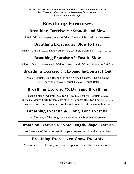## **Breathing Exercises**

## **Breathing Exercise #1: Smooth and Slow**

Inhale 8-Exhale 8(repeats), Inhale 6-Exhale 6 (repeats), Inhale 4-Exhale 4 (repeats)

### **Breathing Exercise #2: Slow to Fast**

Inhale 8-Exhale 8 (repeats), Inhale 7-Exhale 7 (repeats), Inhale 6-Exhale 6 (repeats), 5, 4, 3, 2, 1

## **Breathing Exercise #3: Fast to Slow**

Inhale 1-Exhale 1 (repeats), Inhale 2-Exhale 2 (repeats), Inhale 3-Exhale 3 (repeats), 4, 5, 6, 7, 8

## **Breathing Exercise #4: Expand In/Contract Out**

Inhale 8 Counts, Hold 10 seconds and sip small breaths, Exhale 1 count, Hiss 10 seconds, Inhale 1 Count, Exhale 1 Count, Relax

## **Breathing Exercise #5: Dynamic Breathing**

Sustain a piano Dynamic level for 4-8 counts, Rest for 4 counts (repeats) Sustain a Mezzo Forte Dynamic level for 4-8 counts, Rest for 4 counts (repeats) Sustain a Fortissimo Dynamic level for 4-8 counts, Rest for 4 counts (repeats)

## **Breathing Exercise #6: Long Tone Exercise**

Perform any of the Long Tone Exercises as a breathing exercise.

### **Breathing Exercise #7: Note Length/Shape Exercise**

Perform any of the Note Length/Shape Exercises as a breathing exercise.

## **Breathing Exercise #8: Show Excerpts**

Choose an excerpt from your show and perform it as a breathing exercise.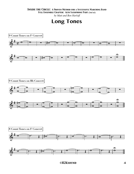#### *Inside the Circle: A Proven Method for a Successful Marching Band*

*Full Ensemble Chapter: Alto Saxophone Part (2nd ed.)*

*by Matt and Ben Harloff*



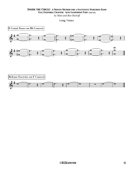*by Matt and Ben Harloff*

Long Tones

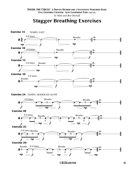*by Matt and Ben Harloff*

## **Stagger Breathing Exercises**



 *©H2Ksound* 6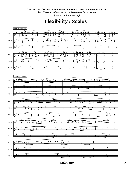*by Matt and Ben Harloff*

**Flexibility / Scales**

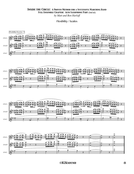*by Matt and Ben Harloff*

Flexibility / Scales







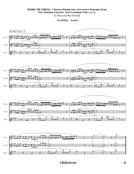*by Matt and Ben Harloff*

Flexibility / Scales







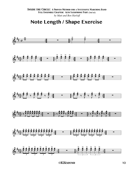## Note Length / Shape Exercise

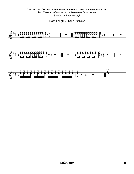#### **INSIDE THE CIRCLE: A PROVEN METHOD FOR A SUCCESSFUL MARCHING BAND** FULL ENSEMBLE CHAPTER: ALTO SAXOPHONE PART (2nd ed.) by Matt and Ben Harloff

Note Length / Shape Exercise

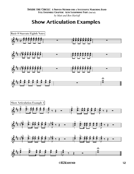## **Show Articulation Examples**

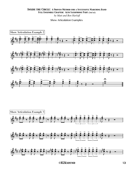#### **INSIDE THE CIRCLE: A PROVEN METHOD FOR A SUCCESSFUL MARCHING BAND** FULL ENSEMBLE CHAPTER: ALTO SAXOPHONE PART (2nd ed.) by Matt and Ben Harloff

#### **Show Articulation Examples**

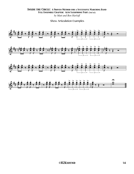*Inside the Circle: A Proven Method for a Successful Marching Band Full Ensemble Chapter: Alto Saxophone Part (2nd ed.) by Matt and Ben Harloff*

Show Articulation Examples

![](_page_13_Figure_2.jpeg)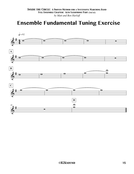## **Ensemble Fundamental Tuning Exercise**

![](_page_14_Figure_2.jpeg)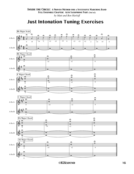## **Just Intonation Tuning Exercises**

![](_page_15_Figure_2.jpeg)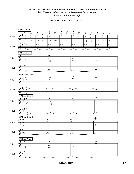Just Intonation Tuning Exercises

![](_page_16_Figure_2.jpeg)

 *©H2Ksound* 17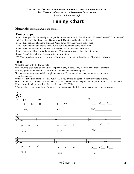#### *Inside the Circle: A Proven Method for a Successful Marching Band*

*Full Ensemble Chapter: Alto Saxophone Part (2nd ed.)*

*by Matt and Ben Harloff*

## **Tuning Chart**

**Materials:** Instrument, tuner and patience.

#### **Tuning Steps:**

Step 1: Tune your fundamental pitch to get the instrument in tune. For Alto Sax: F# top of the staff, D on the staff and B on the staff. For Tenor Sax: B on the staff, C on the staff and G on the staff.

Step 2: Tune the note at a piano dynamic. Write down how many cents out of tune.

Step 3: Tune the note at a mezzo forte. Write down how many cents out of tune.

Step 4: Tune the note at a fortissimo. Write down how many cents out of tune.

Step 5: Experiment how to fix the intonation. Write down ways to place the note in tune.

Repeat Steps 2 through 4 all the way to the highest pitch.

\*\*\*Ways to adjust tuning: Firm-up Embouchure. Loosen Embouchure. Alternate Fingering.

#### **Tips:**

\*Start the chart with the lowest note.

\*When tuning each note, do not adjust the pitch to play in tune. Play the note as natural as possible. This way you will be receiving your most accurate tendency on each pitch.

\*Each dynamic may have a different pitch tendency. Be patient with each dynamic to get the most accurate tendency.

\*Write +13 if you are sharp 13 cents. Write -10 if you are flat 10 cents. Write 0 if you are in tune.

\*Fix?: On the "Fix?" line write down what you need to do to adjust the pitch and play it in tune. You may want to fill out the entire chart come back later to fill in the "Fix?" line.

\*This sheet may take some time. You may have to complete the full chart in a couple of practice sessions.

![](_page_17_Figure_20.jpeg)

 *©H2Ksound* 18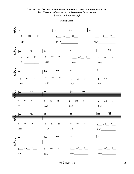*by Matt and Ben Harloff*

Tuning Chart

![](_page_18_Figure_3.jpeg)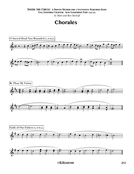#### *Inside the Circle: A Proven Method for a Successful Marching Band*

*Full Ensemble Chapter: Alto Saxophone Part (2nd ed.)*

*by Matt and Ben Harloff*

## **Chorales**

![](_page_19_Figure_4.jpeg)